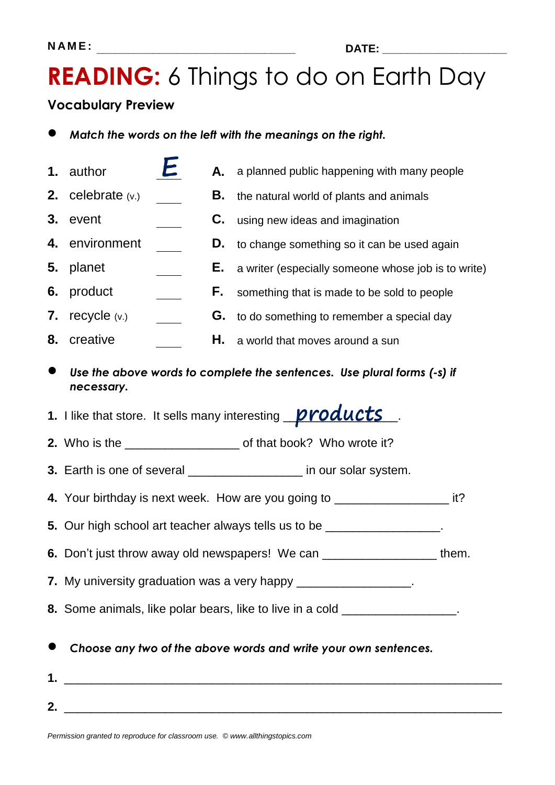### **READING:** 6 Things to do on Earth Day

#### **Vocabulary Preview**

- *Match the words on the left with the meanings on the right.*
- **1.** author **A.** a planned public happening with many people **2.** celebrate (v.) **B.** the natural world of plants and animals **3.** event **C.** using new ideas and imagination **4.** environment **D.** to change something so it can be used again **5.** planet **E.** a writer (especially someone whose job is to write) **6.** product **F.** something that is made to be sold to people **7.** recycle (v.) **G.** to do something to remember a special day **8.** creative **H.** a world that moves around a sun
- *Use the above words to complete the sentences. Use plural forms (-s) if necessary.*

**1.** I like that store. It sells many interesting **products** 

- **2.** Who is the **2. 2.** Who is the **2. Who wrote it?**
- **3.** Earth is one of several \_\_\_\_\_\_\_\_\_\_\_\_\_\_\_\_\_ in our solar system.
- **4.** Your birthday is next week. How are you going to \_\_\_\_\_\_\_\_\_\_\_\_\_\_\_\_\_ it?
- **5.** Our high school art teacher always tells us to be \_\_\_\_\_\_\_\_\_\_\_\_\_\_\_\_\_.
- **6.** Don't just throw away old newspapers! We can \_\_\_\_\_\_\_\_\_\_\_\_\_\_\_\_\_ them.
- **7.** My university graduation was a very happy **with the same of the same of the same of the same of the same of the same of the same of the same of the same of the same of the same of the same of the same of the same of t**
- **8.** Some animals, like polar bears, like to live in a cold **8.** Some animals, like polar bears, like to live in a cold
- *Choose any two of the above words and write your own sentences.*
- **1.** \_\_\_\_\_\_\_\_\_\_\_\_\_\_\_\_\_\_\_\_\_\_\_\_\_\_\_\_\_\_\_\_\_\_\_\_\_\_\_\_\_\_\_\_\_\_\_\_\_\_\_\_\_\_\_\_\_\_\_\_\_\_\_\_\_ **2.** \_\_\_\_\_\_\_\_\_\_\_\_\_\_\_\_\_\_\_\_\_\_\_\_\_\_\_\_\_\_\_\_\_\_\_\_\_\_\_\_\_\_\_\_\_\_\_\_\_\_\_\_\_\_\_\_\_\_\_\_\_\_\_\_\_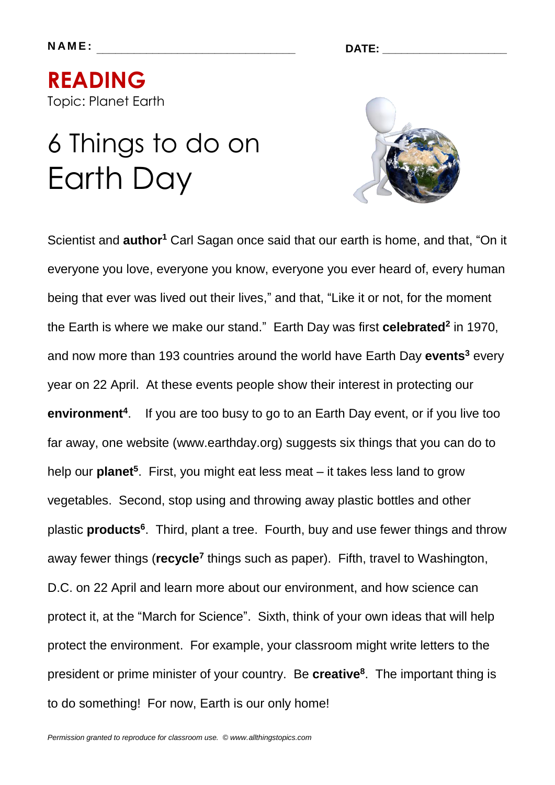**READING**  Topic: Planet Earth

# 6 Things to do on Earth Day



Scientist and **author<sup>1</sup>** Carl Sagan once said that our earth is home, and that, "On it everyone you love, everyone you know, everyone you ever heard of, every human being that ever was lived out their lives," and that, "Like it or not, for the moment the Earth is where we make our stand." Earth Day was first **celebrated<sup>2</sup>** in 1970, and now more than 193 countries around the world have Earth Day **events<sup>3</sup>** every year on 22 April. At these events people show their interest in protecting our **environment<sup>4</sup>** . If you are too busy to go to an Earth Day event, or if you live too far away, one website (www.earthday.org) suggests six things that you can do to help our **planet<sup>5</sup>** . First, you might eat less meat – it takes less land to grow vegetables. Second, stop using and throwing away plastic bottles and other plastic **products<sup>6</sup>** . Third, plant a tree. Fourth, buy and use fewer things and throw away fewer things (recycle<sup>7</sup> things such as paper). Fifth, travel to Washington, D.C. on 22 April and learn more about our environment, and how science can protect it, at the "March for Science". Sixth, think of your own ideas that will help protect the environment. For example, your classroom might write letters to the president or prime minister of your country. Be **creative<sup>8</sup>** . The important thing is to do something! For now, Earth is our only home!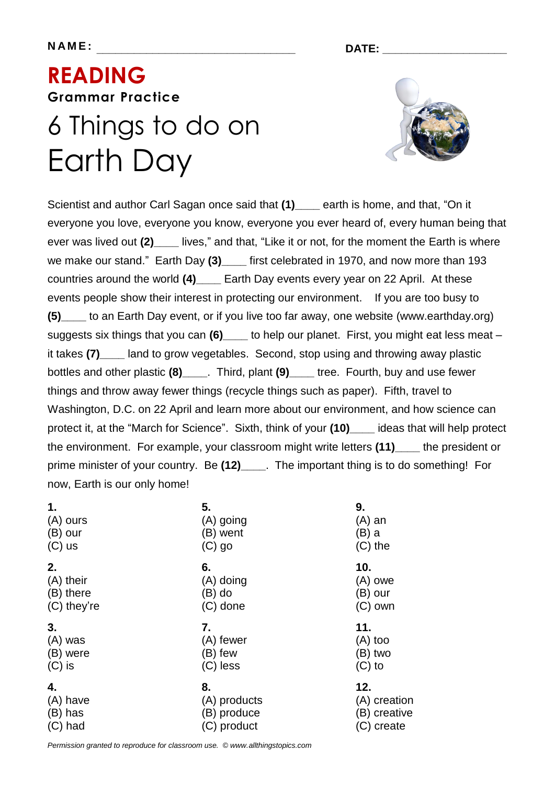**N A M E : \_\_\_\_\_\_\_\_\_\_\_\_\_\_\_\_\_\_\_\_\_\_\_\_\_\_\_\_\_\_\_\_ DATE: \_\_\_\_\_\_\_\_\_\_\_\_\_\_\_\_\_\_\_\_**

## **READING Grammar Practice**  6 Things to do on Earth Day



Scientist and author Carl Sagan once said that **(1)\_\_\_\_** earth is home, and that, "On it everyone you love, everyone you know, everyone you ever heard of, every human being that ever was lived out **(2)\_\_\_\_** lives," and that, "Like it or not, for the moment the Earth is where we make our stand." Earth Day (3) first celebrated in 1970, and now more than 193 countries around the world **(4)\_\_\_\_** Earth Day events every year on 22 April. At these events people show their interest in protecting our environment. If you are too busy to **(5)\_\_\_\_** to an Earth Day event, or if you live too far away, one website (www.earthday.org) suggests six things that you can **(6)\_\_\_\_** to help our planet. First, you might eat less meat – it takes (7) land to grow vegetables. Second, stop using and throwing away plastic bottles and other plastic **(8)\_\_\_\_**. Third, plant **(9)\_\_\_\_** tree. Fourth, buy and use fewer things and throw away fewer things (recycle things such as paper). Fifth, travel to Washington, D.C. on 22 April and learn more about our environment, and how science can protect it, at the "March for Science". Sixth, think of your **(10)\_\_\_\_** ideas that will help protect the environment. For example, your classroom might write letters **(11)\_\_\_\_** the president or prime minister of your country. Be **(12)\_\_\_\_**. The important thing is to do something! For now, Earth is our only home!

| 1.          | 5.           |              |
|-------------|--------------|--------------|
| $(A)$ ours  | (A) going    |              |
| $(B)$ our   | (B) went     |              |
| $(C)$ us    | $(C)$ go     |              |
| 2.          | 6.           | 10.          |
| (A) their   | (A) doing    | $(A)$ owe    |
| (B) there   | $(B)$ do     | (B) our      |
| (C) they're | $(C)$ done   | $(C)$ own    |
| 3.          | 7.           | 11.          |
| $(A)$ was   | (A) fewer    | $(A)$ too    |
| (B) were    | (B) few      | (B) two      |
| $(C)$ is    | $(C)$ less   | $(C)$ to     |
| 4.          | 8.           | 12.          |
| (A) have    | (A) products | (A) creation |
| $(B)$ has   | (B) produce  | (B) creative |
| $(C)$ had   | (C) product  | (C) create   |

*Permission granted to reproduce for classroom use. © www.allthingstopics.com*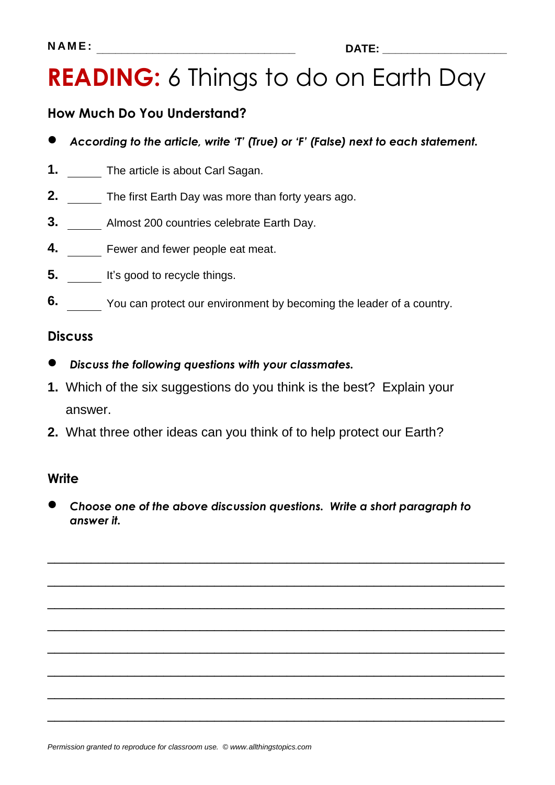### **READING:** 6 Things to do on Earth Day

### **How Much Do You Understand?**

- *According to the article, write 'T' (True) or 'F' (False) next to each statement.*
- **1.** The article is about Carl Sagan.
- **2.** The first Earth Day was more than forty years ago.
- **3.** Almost 200 countries celebrate Earth Day.
- **4.** Fewer and fewer people eat meat.
- **5.** It's good to recycle things.
- **6.** You can protect our environment by becoming the leader of a country.

#### **Discuss**

- *Discuss the following questions with your classmates.*
- **1.** Which of the six suggestions do you think is the best? Explain your answer.
- **2.** What three other ideas can you think of to help protect our Earth?

#### **Write**

 *Choose one of the above discussion questions. Write a short paragraph to answer it.*

\_\_\_\_\_\_\_\_\_\_\_\_\_\_\_\_\_\_\_\_\_\_\_\_\_\_\_\_\_\_\_\_\_\_\_\_\_\_\_\_\_\_\_\_\_\_\_\_\_\_\_\_\_\_\_\_\_\_\_\_\_\_\_

\_\_\_\_\_\_\_\_\_\_\_\_\_\_\_\_\_\_\_\_\_\_\_\_\_\_\_\_\_\_\_\_\_\_\_\_\_\_\_\_\_\_\_\_\_\_\_\_\_\_\_\_\_\_\_\_\_\_\_\_\_\_\_

\_\_\_\_\_\_\_\_\_\_\_\_\_\_\_\_\_\_\_\_\_\_\_\_\_\_\_\_\_\_\_\_\_\_\_\_\_\_\_\_\_\_\_\_\_\_\_\_\_\_\_\_\_\_\_\_\_\_\_\_\_\_\_

\_\_\_\_\_\_\_\_\_\_\_\_\_\_\_\_\_\_\_\_\_\_\_\_\_\_\_\_\_\_\_\_\_\_\_\_\_\_\_\_\_\_\_\_\_\_\_\_\_\_\_\_\_\_\_\_\_\_\_\_\_\_\_

\_\_\_\_\_\_\_\_\_\_\_\_\_\_\_\_\_\_\_\_\_\_\_\_\_\_\_\_\_\_\_\_\_\_\_\_\_\_\_\_\_\_\_\_\_\_\_\_\_\_\_\_\_\_\_\_\_\_\_\_\_\_\_

\_\_\_\_\_\_\_\_\_\_\_\_\_\_\_\_\_\_\_\_\_\_\_\_\_\_\_\_\_\_\_\_\_\_\_\_\_\_\_\_\_\_\_\_\_\_\_\_\_\_\_\_\_\_\_\_\_\_\_\_\_\_\_

\_\_\_\_\_\_\_\_\_\_\_\_\_\_\_\_\_\_\_\_\_\_\_\_\_\_\_\_\_\_\_\_\_\_\_\_\_\_\_\_\_\_\_\_\_\_\_\_\_\_\_\_\_\_\_\_\_\_\_\_\_\_\_

\_\_\_\_\_\_\_\_\_\_\_\_\_\_\_\_\_\_\_\_\_\_\_\_\_\_\_\_\_\_\_\_\_\_\_\_\_\_\_\_\_\_\_\_\_\_\_\_\_\_\_\_\_\_\_\_\_\_\_\_\_\_\_